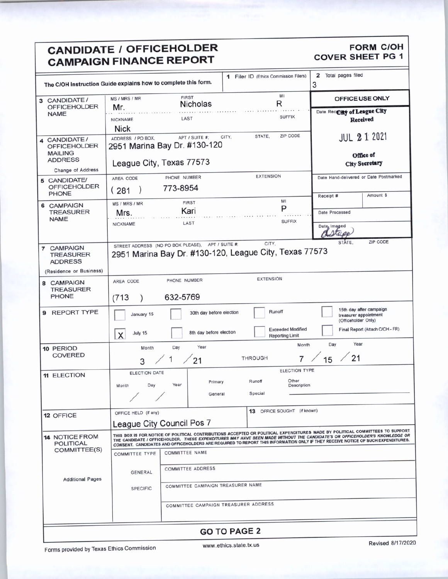## CANDIDATE / OFFICEHOLDER FORM COH **CAMPAIGN FINANCE REPORT**

| <b>CANDIDATE / OFFICEHOLDER</b><br><b>CAMPAIGN FINANCE REPORT</b> |                                                                |                                                                                                                                                                                                                                  | FORM C/OH<br>COVER SHEET PG 1                             |                                                                 |
|-------------------------------------------------------------------|----------------------------------------------------------------|----------------------------------------------------------------------------------------------------------------------------------------------------------------------------------------------------------------------------------|-----------------------------------------------------------|-----------------------------------------------------------------|
|                                                                   | The C/OH Instruction Guide explains how to complete this form. |                                                                                                                                                                                                                                  | 1 Filer ID (Ethics Commission Filers) 2 Total pages filed |                                                                 |
|                                                                   | MS / MRS / MR                                                  | FIRST<br><b>Nicholas</b>                                                                                                                                                                                                         |                                                           | OFFICE USE ONLY                                                 |
| 3 CANDIDATE /<br>OFFICEHOLDER<br>NAME                             | <b>NICKNAME</b>                                                | LAST                                                                                                                                                                                                                             | <b>SUFFIX</b>                                             | Date Rectify of League City<br>Received                         |
|                                                                   | <b>Nick</b>                                                    |                                                                                                                                                                                                                                  | STATE, ZIP CODE                                           | JUL 2 1 2021                                                    |
|                                                                   |                                                                | 4 CANDIDATE / ADDRESS / PO BOX. APT / SUITE #: CITY.<br>OFFICEHOLDER 2951 Marina Bay Dr. #130-120<br>MAILING ADDRESS League City, Texas 77573                                                                                    |                                                           | Office of                                                       |
| Change of Address                                                 | AREA CODE                                                      | League City, Texas 77573<br>PHONE NUMBER                                                                                                                                                                                         | <b>EXTENSION</b>                                          | <b>City Secretary</b><br>Date Hand-delivered or Date Postmarked |
| 5 CANDIDATE/<br>OFFICEHOLDER<br>PHONE                             | .281)                                                          | 773-8954                                                                                                                                                                                                                         |                                                           | Amount \$<br>Receipt #                                          |
| 6 CAMPAIGN<br>TREASURER<br>NAME                                   | MS / MRS / MR<br>Mrs.                                          | <b>FIRST</b><br>Kari                                                                                                                                                                                                             |                                                           | Date Processed                                                  |
|                                                                   | <b>NICKNAME</b>                                                | LAST                                                                                                                                                                                                                             | <b>SUFFIX</b>                                             | Date, Imaged<br>Callage<br>STATE, ZIP CODE                      |
| ⊢<br>7 CAMPAIGN<br>TREASURER<br>ADDRESS                           |                                                                | STREET ADDRESS (NO PO BOX PLEASE), APT / SUITE #; CITY, CITY, 2951 Marina Bay Dr. #130-120, League City, Texas 77573                                                                                                             |                                                           |                                                                 |
| (Residence or Business)                                           |                                                                |                                                                                                                                                                                                                                  |                                                           |                                                                 |
| CAMPAIGN<br>TREASURER<br>PHONE                                    | AREA CODE<br>(713)                                             | PHONE NUMBER<br>632-5769                                                                                                                                                                                                         | <b>EXTENSION</b>                                          |                                                                 |
| REPORT TYPE                                                       | January 15                                                     | 30th day before election                                                                                                                                                                                                         | Runoff                                                    | 15th day after campaign<br>treasurer appointment                |
|                                                                   | $\mathbf{v}$ July 15                                           | 8th day before election                                                                                                                                                                                                          | <b>Exceeded Modified</b><br><b>Reporting Limit</b>        | (Officeholder Only)<br>Final Report (Attach C/OH - FR)          |
| 10 PERIOD<br>COVERED                                              |                                                                | Month Day Year                                                                                                                                                                                                                   | Month                                                     | Day<br>Year                                                     |
| 11 ELECTION                                                       | ELECTION DATE                                                  | 3 / 1 / 21<br><b>THROUGH</b>                                                                                                                                                                                                     | ELECTION TYPE                                             | / 15 / 21                                                       |
|                                                                   | Month Day                                                      | Runoff<br>Primary<br>Special<br>General                                                                                                                                                                                          | Other<br>Description<br><b><i><u>Property</u></i></b>     |                                                                 |
| 12 OFFICE                                                         | OFFICE HELD (if any)                                           |                                                                                                                                                                                                                                  | 13 OFFICE SOUGHT (if known)                               |                                                                 |
|                                                                   |                                                                | League City Council Pos 7                                                                                                                                                                                                        |                                                           |                                                                 |
| 14 NOTICE FROM<br>POLITICAL<br>COMMITTEE(S)                       |                                                                | FROM THIS BOX IS FOR NOTICE OF POLITICAL CONTRIBUTIONS ACCEPTED OR POLITICAL EXPENDITURES MADE BY POLITICAL COMMITTEES TO SUPPORT<br>THE CANDIDATE / OFFICEHOLDER. THESE EXPENDITURES MAY HAVE BEEN MADE WITHOUT THE CANDIDATE'S |                                                           |                                                                 |
|                                                                   | GENERAL                                                        | <b>COMMITTEE ADDRESS</b>                                                                                                                                                                                                         |                                                           |                                                                 |
| <b>Additional Pages</b>                                           | <b>SPECIFIC</b>                                                | COMMITTEE CAMPAIGN TREASURER NAME                                                                                                                                                                                                |                                                           |                                                                 |
|                                                                   |                                                                | COMMITTEE CAMPAIGN TREASURER ADDRESS                                                                                                                                                                                             |                                                           |                                                                 |
|                                                                   |                                                                | <b>GO TO PAGE 2</b>                                                                                                                                                                                                              |                                                           |                                                                 |

www.ethics.state.tx.us Revised 8/17/2020

Forms provided by Texas Ethics Commission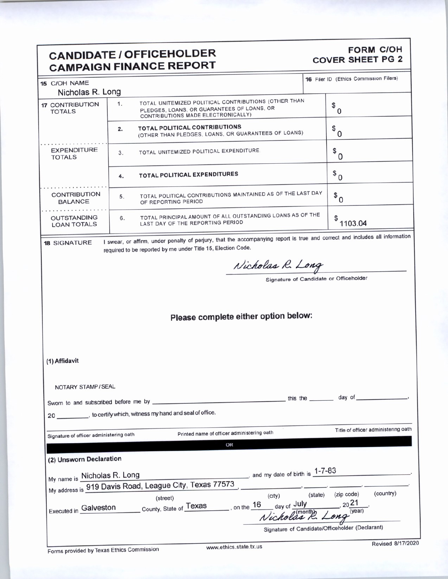## CANDIDATE / OFFICEHOLDER CAMPAIGN FINANCE REPORT

# COVER SHEET PG 2

| UMIVIT MIUITI II                         |                                                                                                                                                                                             |                 |                                                 |                                     |  |  |  |  |  |  |
|------------------------------------------|---------------------------------------------------------------------------------------------------------------------------------------------------------------------------------------------|-----------------|-------------------------------------------------|-------------------------------------|--|--|--|--|--|--|
| 15 C/OH NAME<br>Nicholas R. Long         |                                                                                                                                                                                             |                 | 16 Filer ID (Ethics Commission Filers)          |                                     |  |  |  |  |  |  |
| <b>17 CONTRIBUTION</b><br><b>TOTALS</b>  | TOTAL UNITEMIZED POLITICAL CONTRIBUTIONS (OTHER THAN<br>1.<br>PLEDGES, LOANS, OR GUARANTEES OF LOANS, OR<br>CONTRIBUTIONS MADE ELECTRONICALLY)                                              |                 | \$<br>$\mathbf 0$                               |                                     |  |  |  |  |  |  |
|                                          | <b>TOTAL POLITICAL CONTRIBUTIONS</b><br>2.<br>(OTHER THAN PLEDGES, LOANS, OR GUARANTEES OF LOANS)                                                                                           |                 | $\circ$ o                                       |                                     |  |  |  |  |  |  |
| <b>EXPENDITURE</b><br><b>TOTALS</b>      | TOTAL UNITEMIZED POLITICAL EXPENDITURE<br>3.                                                                                                                                                |                 | $\sqrt[6]{\bullet}$ 0                           |                                     |  |  |  |  |  |  |
|                                          | TOTAL POLITICAL EXPENDITURES<br>4.                                                                                                                                                          |                 | $\sigma$                                        |                                     |  |  |  |  |  |  |
| <b>CONTRIBUTION</b><br><b>BALANCE</b>    | TOTAL POLITICAL CONTRIBUTIONS MAINTAINED AS OF THE LAST DAY<br>5.<br>OF REPORTING PERIOD                                                                                                    |                 | $\bullet$ 0                                     |                                     |  |  |  |  |  |  |
| <b>OUTSTANDING</b><br><b>LOAN TOTALS</b> | TOTAL PRINCIPAL AMOUNT OF ALL OUTSTANDING LOANS AS OF THE<br>6.<br>LAST DAY OF THE REPORTING PERIOD                                                                                         |                 | \$<br>1103.04                                   |                                     |  |  |  |  |  |  |
| <b>18 SIGNATURE</b>                      | I swear, or affirm, under penalty of perjury, that the accompanying report is true and correct and includes all information<br>required to be reported by me under Title 15, Election Code. |                 |                                                 |                                     |  |  |  |  |  |  |
|                                          | Nicholas R. Long                                                                                                                                                                            |                 |                                                 |                                     |  |  |  |  |  |  |
|                                          |                                                                                                                                                                                             |                 | Signature of Candidate or Officeholder          |                                     |  |  |  |  |  |  |
|                                          |                                                                                                                                                                                             |                 |                                                 |                                     |  |  |  |  |  |  |
|                                          |                                                                                                                                                                                             |                 |                                                 |                                     |  |  |  |  |  |  |
|                                          | Please complete either option below:                                                                                                                                                        |                 |                                                 |                                     |  |  |  |  |  |  |
|                                          |                                                                                                                                                                                             |                 |                                                 |                                     |  |  |  |  |  |  |
|                                          |                                                                                                                                                                                             |                 |                                                 |                                     |  |  |  |  |  |  |
|                                          |                                                                                                                                                                                             |                 |                                                 |                                     |  |  |  |  |  |  |
| (1) Affidavit                            |                                                                                                                                                                                             |                 |                                                 |                                     |  |  |  |  |  |  |
|                                          |                                                                                                                                                                                             |                 |                                                 |                                     |  |  |  |  |  |  |
|                                          |                                                                                                                                                                                             |                 |                                                 |                                     |  |  |  |  |  |  |
| NOTARY STAMP / SEAL                      |                                                                                                                                                                                             |                 |                                                 |                                     |  |  |  |  |  |  |
|                                          |                                                                                                                                                                                             | this the $\_\_$ | day of                                          |                                     |  |  |  |  |  |  |
|                                          | 20 __________, to certify which, witness my hand and seal of office.                                                                                                                        |                 |                                                 |                                     |  |  |  |  |  |  |
| Signature of officer administering oath  | Printed name of officer administering oath                                                                                                                                                  |                 |                                                 | Title of officer administering oath |  |  |  |  |  |  |
|                                          | OR                                                                                                                                                                                          |                 |                                                 |                                     |  |  |  |  |  |  |
| (2) Unsworn Declaration                  |                                                                                                                                                                                             |                 |                                                 |                                     |  |  |  |  |  |  |
| My name is <b>Nicholas R. Long</b>       | and my date of birth is $1-7-83$                                                                                                                                                            |                 |                                                 |                                     |  |  |  |  |  |  |
|                                          | My address is 919 Davis Road, League City, Texas 77573                                                                                                                                      |                 |                                                 |                                     |  |  |  |  |  |  |
|                                          | (city)<br>(street)                                                                                                                                                                          | (state)         | (zip code)                                      | (country)                           |  |  |  |  |  |  |
|                                          | Executed in Galveston County, State of Texas , on the 16 day of July day of Texas  Acholas R.                                                                                               |                 | $\frac{20}{(year)}$                             |                                     |  |  |  |  |  |  |
|                                          |                                                                                                                                                                                             |                 |                                                 |                                     |  |  |  |  |  |  |
|                                          |                                                                                                                                                                                             |                 | Signature of Candidate/Officeholder (Declarant) |                                     |  |  |  |  |  |  |

Revised 8/17/2020